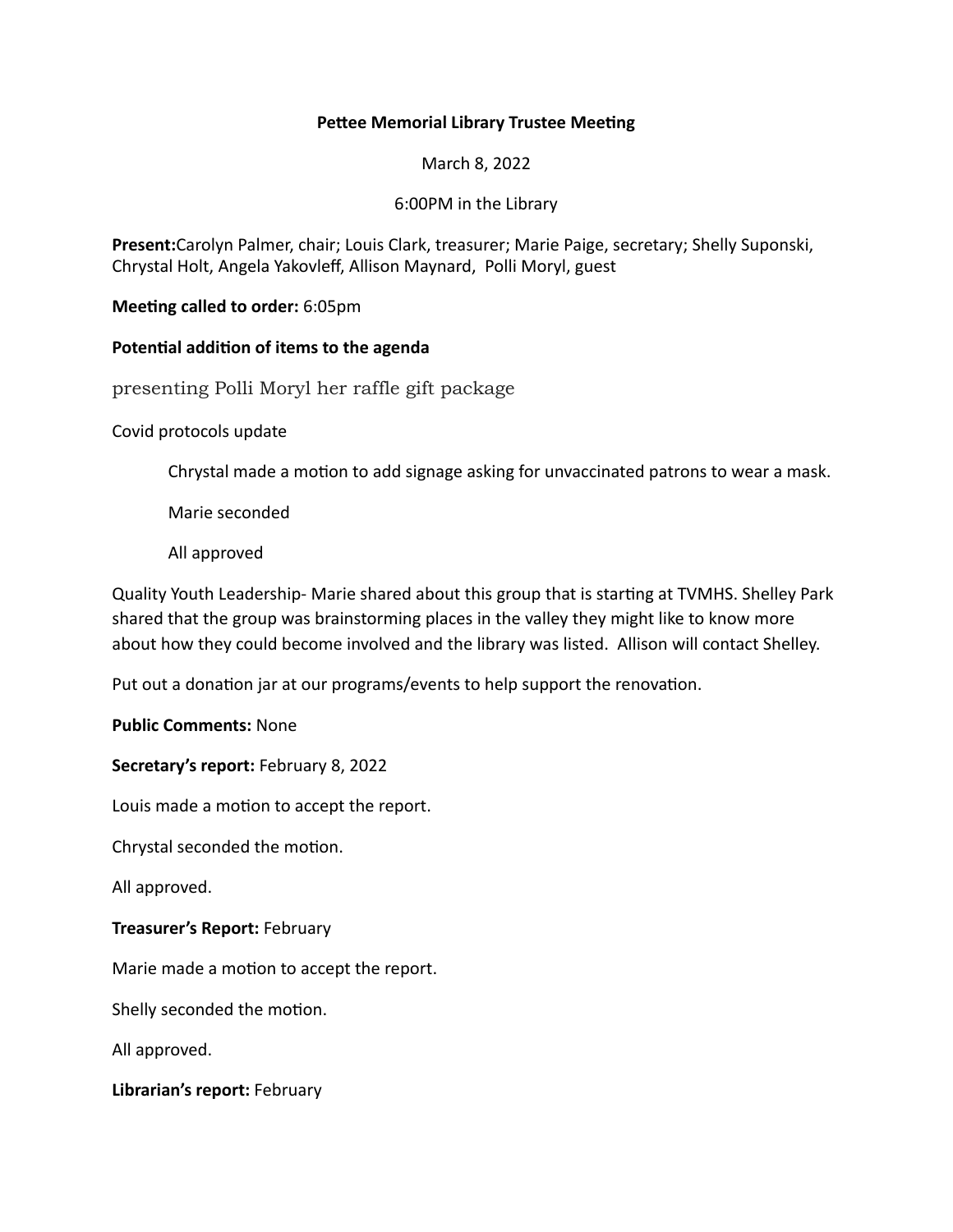## **Pettee Memorial Library Trustee Meeting**

March 8, 2022

## 6:00PM in the Library

Present:Carolyn Palmer, chair; Louis Clark, treasurer; Marie Paige, secretary; Shelly Suponski, Chrystal Holt, Angela Yakovleff, Allison Maynard, Polli Moryl, guest

**Meeting called to order:** 6:05pm

## Potential addition of items to the agenda

presenting Polli Moryl her raffle gift package

Covid protocols update

Chrystal made a motion to add signage asking for unvaccinated patrons to wear a mask.

Marie seconded

All approved

Quality Youth Leadership- Marie shared about this group that is starting at TVMHS. Shelley Park shared that the group was brainstorming places in the valley they might like to know more about how they could become involved and the library was listed. Allison will contact Shelley.

Put out a donation jar at our programs/events to help support the renovation.

## **Public Comments: None**

**Secretary's report:** February 8, 2022

Louis made a motion to accept the report.

Chrystal seconded the motion.

All approved.

**Treasurer's Report: February** 

Marie made a motion to accept the report.

Shelly seconded the motion.

All approved.

Librarian's report: February